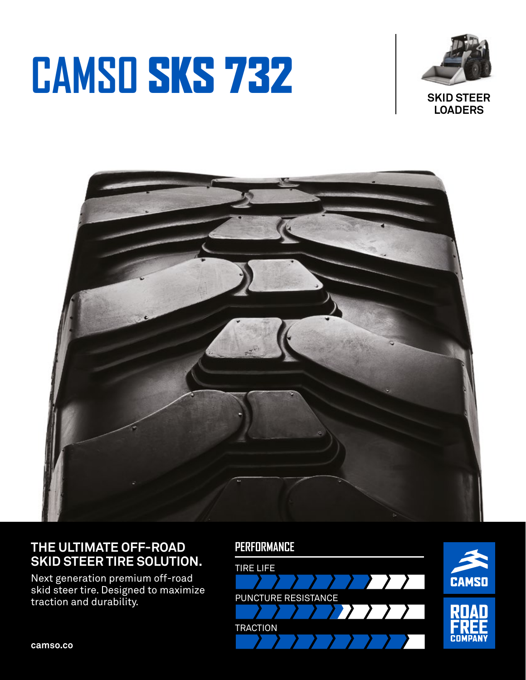# **CAMSO** SKS 732



**LOADERS**



# **THE ULTIMATE OFF-ROAD SKID STEER TIRE SOLUTION.**

Next generation premium off-road skid steer tire. Designed to maximize traction and durability.

## **PERFORMANCE**